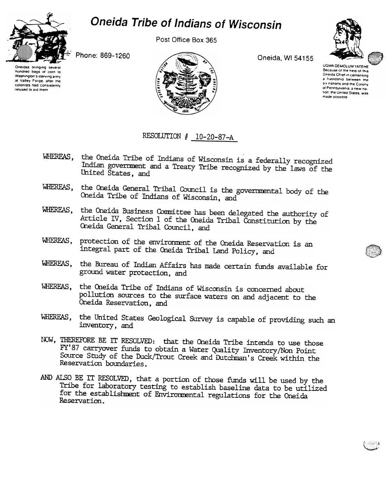## Oneida Tribe of Indians of Wisconsin



hundred bags of corn to

Washington's starving army

at Valley Forge, after the

colonists had consistently

refused to aid them

Post Office Box 365

Phone: 869-1260



Oneida, WI 54155



UGWA DEMOLUM YATEHE Because of the help of this Oneida Chief in cementing a friendship between the six nations and the Colony of Pennsylvania, a new nation, the United States, was made possible

## RESOLUTION  $# 10-20-87-A$

- WHEREAS, the Oneida Tribe of Indians of Wisconsin is a federally recognized Indian government and a Treaty Tribe recognized by the laws of the United States, and
- WHEREAS, the Oneida General Tribal Council is the governmental body of the Oneida Tribe of Indians of Wisconsin, and
- WHEREAS, the Oneida Business Committee has been delegated the authority of Article IV, Section 1 of the Oneida Tribal Constitution by the Oneida General Tribal Council, and
- protection of the environment of the Oneida Reservation is an WHEREAS, integral part of the Oneida Tribal Land Policy, and
- WHEREAS, the Bureau of Indian Affairs has made certain funds available for ground water protection, and
- WHEREAS, the Oneida Tribe of Indians of Wisconsin is concerned about pollution sources to the surface waters on and adjacent to the Oneida Reservation, and
- WHEREAS, the United States Geological Survey is capable of providing such an inventory, and
- NOW, THEREFORE BE IT RESOLVED: that the Oneida Tribe intends to use those FY'87 carryover funds to obtain a Water Quality Inventory/Non Point Source Study of the Duck/Trout Creek and Dutchman's Creek within the Reservation boundaries.
- AND ALSO BE IT RESOLVED, that a portion of those funds will be used by the Tribe for laboratory testing to establish baseline data to be utilized for the establishment of Environmental regulations for the Oneida Reservation.